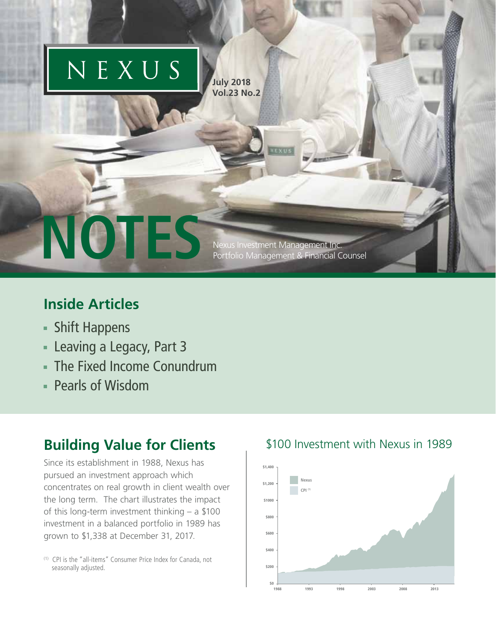

## **Inside Articles**

- Shift Happens
- **Leaving a Legacy, Part 3**
- The Fixed Income Conundrum
- Pearls of Wisdom

## **Building Value for Clients**

Since its establishment in 1988, Nexus has pursued an investment approach which concentrates on real growth in client wealth over the long term. The chart illustrates the impact of this long-term investment thinking – a \$100 investment in a balanced portfolio in 1989 has grown to \$1,338 at December 31, 2017.

(1) CPI is the "all-items" Consumer Price Index for Canada, not seasonally adjusted.

## \$100 Investment with Nexus in 1989

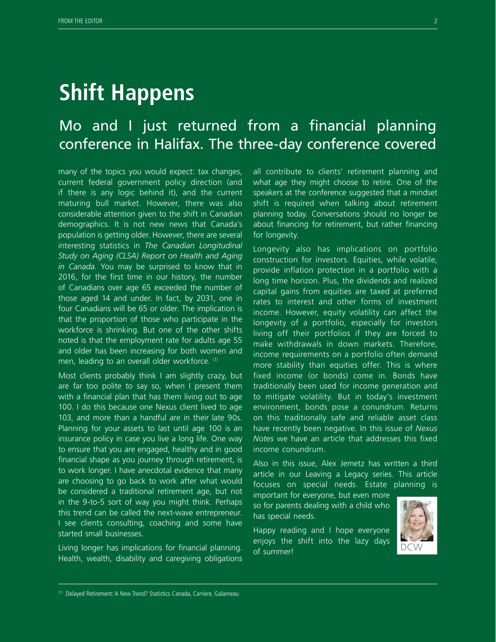# **Shift Happens**

## Mo and I just returned from a financial planning conference in Halifax. The three-day conference covered

many of the topics you would expect: tax changes, current federal government policy direction (and if there is any logic behind it), and the current maturing bull market. However, there was also considerable attention given to the shift in Canadian demographics. It is not new news that Canada's population is getting older. However, there are several interesting statistics in *The Canadian Longitudinal Study on Aging (CLSA) Report on Health and Aging in Canada*. You may be surprised to know that in 2016, for the first time in our history, the number of Canadians over age 65 exceeded the number of those aged 14 and under. In fact, by 2031, one in four Canadians will be 65 or older. The implication is that the proportion of those who participate in the workforce is shrinking. But one of the other shifts noted is that the employment rate for adults age 55 and older has been increasing for both women and men, leading to an overall older workforce. (1)

Most clients probably think I am slightly crazy, but are far too polite to say so, when I present them with a financial plan that has them living out to age 100. I do this because one Nexus client lived to age 103, and more than a handful are in their late 90s. Planning for your assets to last until age 100 is an insurance policy in case you live a long life. One way to ensure that you are engaged, healthy and in good financial shape as you journey through retirement, is to work longer. I have anecdotal evidence that many are choosing to go back to work after what would be considered a traditional retirement age, but not in the 9-to-5 sort of way you might think. Perhaps this trend can be called the next-wave entrepreneur. I see clients consulting, coaching and some have started small businesses.

Living longer has implications for financial planning. Health, wealth, disability and caregiving obligations all contribute to clients' retirement planning and what age they might choose to retire. One of the speakers at the conference suggested that a mindset shift is required when talking about retirement planning today. Conversations should no longer be about financing for retirement, but rather financing for longevity.

Longevity also has implications on portfolio construction for investors. Equities, while volatile, provide inflation protection in a portfolio with a long time horizon. Plus, the dividends and realized capital gains from equities are taxed at preferred rates to interest and other forms of investment income. However, equity volatility can affect the longevity of a portfolio, especially for investors living off their portfolios if they are forced to make withdrawals in down markets. Therefore, income requirements on a portfolio often demand more stability than equities offer. This is where fixed income (or bonds) come in. Bonds have traditionally been used for income generation and to mitigate volatility. But in today's investment environment, bonds pose a conundrum. Returns on this traditionally safe and reliable asset class have recently been negative. In this issue of *Nexus Notes* we have an article that addresses this fixed income conundrum.

Also in this issue, Alex Jemetz has written a third article in our Leaving a Legacy series. This article focuses on special needs. Estate planning is

important for everyone, but even more so for parents dealing with a child who has special needs.



Happy reading and I hope everyone enjoys the shift into the lazy days of summer!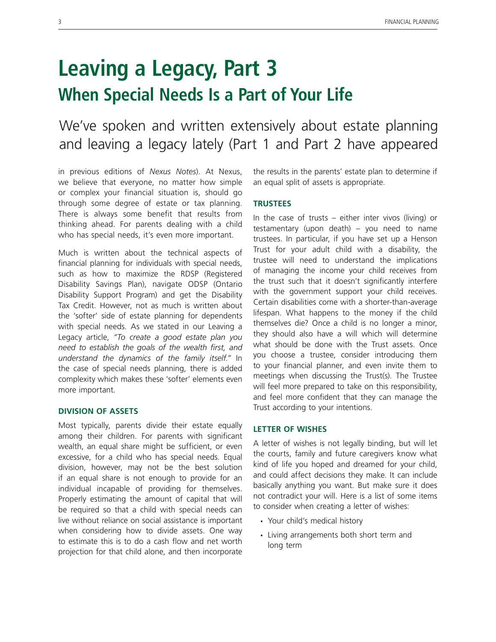# **Leaving a Legacy, Part 3 When Special Needs Is a Part of Your Life**

We've spoken and written extensively about estate planning and leaving a legacy lately (Part 1 and Part 2 have appeared

in previous editions of *Nexus Notes*). At Nexus, we believe that everyone, no matter how simple or complex your financial situation is, should go through some degree of estate or tax planning. There is always some benefit that results from thinking ahead. For parents dealing with a child who has special needs, it's even more important.

Much is written about the technical aspects of financial planning for individuals with special needs, such as how to maximize the RDSP (Registered Disability Savings Plan), navigate ODSP (Ontario Disability Support Program) and get the Disability Tax Credit. However, not as much is written about the 'softer' side of estate planning for dependents with special needs. As we stated in our Leaving a Legacy article, *"To create a good estate plan you need to establish the goals of the wealth first, and understand the dynamics of the family itself."* In the case of special needs planning, there is added complexity which makes these 'softer' elements even more important.

#### **Division of Assets**

Most typically, parents divide their estate equally among their children. For parents with significant wealth, an equal share might be sufficient, or even excessive, for a child who has special needs. Equal division, however, may not be the best solution if an equal share is not enough to provide for an individual incapable of providing for themselves. Properly estimating the amount of capital that will be required so that a child with special needs can live without reliance on social assistance is important when considering how to divide assets. One way to estimate this is to do a cash flow and net worth projection for that child alone, and then incorporate the results in the parents' estate plan to determine if an equal split of assets is appropriate.

### **Trustees**

In the case of trusts – either inter vivos (living) or testamentary (upon death) – you need to name trustees. In particular, if you have set up a Henson Trust for your adult child with a disability, the trustee will need to understand the implications of managing the income your child receives from the trust such that it doesn't significantly interfere with the government support your child receives. Certain disabilities come with a shorter-than-average lifespan. What happens to the money if the child themselves die? Once a child is no longer a minor, they should also have a will which will determine what should be done with the Trust assets. Once you choose a trustee, consider introducing them to your financial planner, and even invite them to meetings when discussing the Trust(s). The Trustee will feel more prepared to take on this responsibility, and feel more confident that they can manage the Trust according to your intentions.

### **Letter of wishes**

A letter of wishes is not legally binding, but will let the courts, family and future caregivers know what kind of life you hoped and dreamed for your child, and could affect decisions they make. It can include basically anything you want. But make sure it does not contradict your will. Here is a list of some items to consider when creating a letter of wishes:

- Your child's medical history
- Living arrangements both short term and long term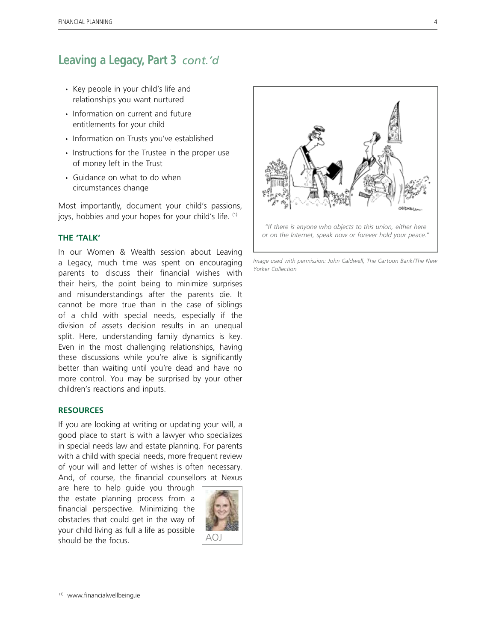## **Leaving a Legacy, Part 3** *cont.'d*

- Key people in your child's life and relationships you want nurtured
- Information on current and future entitlements for your child
- Information on Trusts you've established
- Instructions for the Trustee in the proper use of money left in the Trust
- Guidance on what to do when circumstances change

Most importantly, document your child's passions, joys, hobbies and your hopes for your child's life. (1)

### **The 'Talk'**

In our Women & Wealth session about Leaving a Legacy, much time was spent on encouraging parents to discuss their financial wishes with their heirs, the point being to minimize surprises and misunderstandings after the parents die. It cannot be more true than in the case of siblings of a child with special needs, especially if the division of assets decision results in an unequal split. Here, understanding family dynamics is key. Even in the most challenging relationships, having these discussions while you're alive is significantly better than waiting until you're dead and have no more control. You may be surprised by your other children's reactions and inputs.

#### **Resources**

If you are looking at writing or updating your will, a good place to start is with a lawyer who specializes in special needs law and estate planning. For parents with a child with special needs, more frequent review of your will and letter of wishes is often necessary. And, of course, the financial counsellors at Nexus

are here to help guide you through the estate planning process from a financial perspective. Minimizing the obstacles that could get in the way of your child living as full a life as possible  $\frac{1}{2}$  should be the focus.  $\frac{1}{2}$   $\frac{1}{2}$   $\frac{1}{2}$   $\frac{1}{2}$   $\frac{1}{2}$   $\frac{1}{2}$   $\frac{1}{2}$   $\frac{1}{2}$   $\frac{1}{2}$   $\frac{1}{2}$   $\frac{1}{2}$   $\frac{1}{2}$   $\frac{1}{2}$   $\frac{1}{2}$   $\frac{1}{2}$   $\frac{1}{2}$   $\frac{1}{2}$   $\frac{1}{2}$   $\frac{1}{2}$ 





*Image used with permission: John Caldwell, The Cartoon Bank/The New Yorker Collection*

<sup>(1)</sup> www.financialwellbeing.ie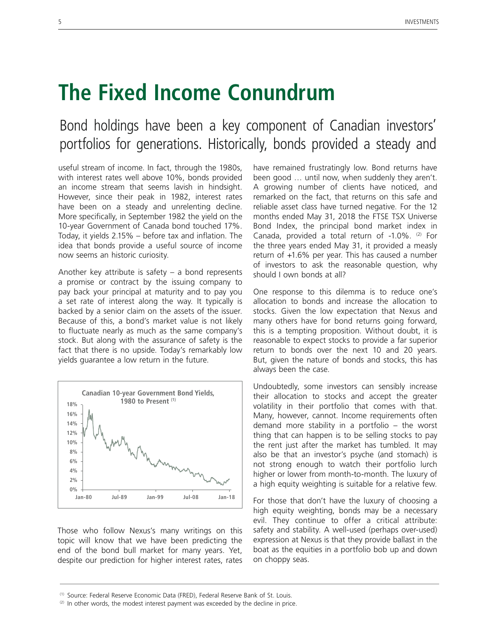# **The Fixed Income Conundrum**

## Bond holdings have been a key component of Canadian investors' portfolios for generations. Historically, bonds provided a steady and

useful stream of income. In fact, through the 1980s, with interest rates well above 10%, bonds provided an income stream that seems lavish in hindsight. However, since their peak in 1982, interest rates have been on a steady and unrelenting decline. More specifically, in September 1982 the yield on the 10-year Government of Canada bond touched 17%. Today, it yields 2.15% – before tax and inflation. The idea that bonds provide a useful source of income now seems an historic curiosity.

Another key attribute is safety  $-$  a bond represents a promise or contract by the issuing company to pay back your principal at maturity and to pay you a set rate of interest along the way. It typically is backed by a senior claim on the assets of the issuer. Because of this, a bond's market value is not likely to fluctuate nearly as much as the same company's stock. But along with the assurance of safety is the fact that there is no upside. Today's remarkably low yields guarantee a low return in the future.



Those who follow Nexus's many writings on this topic will know that we have been predicting the end of the bond bull market for many years. Yet, despite our prediction for higher interest rates, rates have remained frustratingly low. Bond returns have been good … until now, when suddenly they aren't. A growing number of clients have noticed, and remarked on the fact, that returns on this safe and reliable asset class have turned negative. For the 12 months ended May 31, 2018 the FTSE TSX Universe Bond Index, the principal bond market index in Canada, provided a total return of -1.0%. (2) For the three years ended May 31, it provided a measly return of +1.6% per year. This has caused a number of investors to ask the reasonable question, why should I own bonds at all?

One response to this dilemma is to reduce one's allocation to bonds and increase the allocation to stocks. Given the low expectation that Nexus and many others have for bond returns going forward, this is a tempting proposition. Without doubt, it is reasonable to expect stocks to provide a far superior return to bonds over the next 10 and 20 years. But, given the nature of bonds and stocks, this has always been the case.

Undoubtedly, some investors can sensibly increase their allocation to stocks and accept the greater volatility in their portfolio that comes with that. Many, however, cannot. Income requirements often demand more stability in a portfolio – the worst thing that can happen is to be selling stocks to pay the rent just after the market has tumbled. It may also be that an investor's psyche (and stomach) is not strong enough to watch their portfolio lurch higher or lower from month-to-month. The luxury of a high equity weighting is suitable for a relative few.

For those that don't have the luxury of choosing a high equity weighting, bonds may be a necessary evil. They continue to offer a critical attribute: safety and stability. A well-used (perhaps over-used) expression at Nexus is that they provide ballast in the boat as the equities in a portfolio bob up and down on choppy seas.

<sup>(1)</sup> Source: Federal Reserve Economic Data (FRED), Federal Reserve Bank of St. Louis.

 $(2)$  In other words, the modest interest payment was exceeded by the decline in price.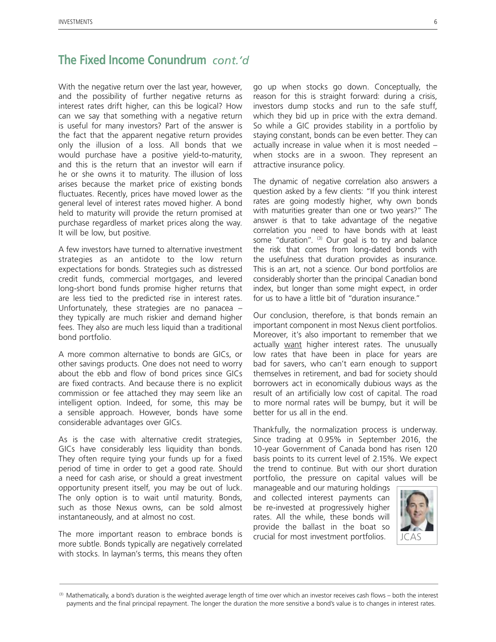## **The Fixed Income Conundrum** *cont.'d*

With the negative return over the last year, however, and the possibility of further negative returns as interest rates drift higher, can this be logical? How can we say that something with a negative return is useful for many investors? Part of the answer is the fact that the apparent negative return provides only the illusion of a loss. All bonds that we would purchase have a positive yield-to-maturity, and this is the return that an investor will earn if he or she owns it to maturity. The illusion of loss arises because the market price of existing bonds fluctuates. Recently, prices have moved lower as the general level of interest rates moved higher. A bond held to maturity will provide the return promised at purchase regardless of market prices along the way. It will be low, but positive.

A few investors have turned to alternative investment strategies as an antidote to the low return expectations for bonds. Strategies such as distressed credit funds, commercial mortgages, and levered long-short bond funds promise higher returns that are less tied to the predicted rise in interest rates. Unfortunately, these strategies are no panacea – they typically are much riskier and demand higher fees. They also are much less liquid than a traditional bond portfolio.

A more common alternative to bonds are GICs, or other savings products. One does not need to worry about the ebb and flow of bond prices since GICs are fixed contracts. And because there is no explicit commission or fee attached they may seem like an intelligent option. Indeed, for some, this may be a sensible approach. However, bonds have some considerable advantages over GICs.

As is the case with alternative credit strategies, GICs have considerably less liquidity than bonds. They often require tying your funds up for a fixed period of time in order to get a good rate. Should a need for cash arise, or should a great investment opportunity present itself, you may be out of luck. The only option is to wait until maturity. Bonds, such as those Nexus owns, can be sold almost instantaneously, and at almost no cost.

The more important reason to embrace bonds is more subtle. Bonds typically are negatively correlated with stocks. In layman's terms, this means they often go up when stocks go down. Conceptually, the reason for this is straight forward: during a crisis, investors dump stocks and run to the safe stuff, which they bid up in price with the extra demand. So while a GIC provides stability in a portfolio by staying constant, bonds can be even better. They can actually increase in value when it is most needed – when stocks are in a swoon. They represent an attractive insurance policy.

The dynamic of negative correlation also answers a question asked by a few clients: "If you think interest rates are going modestly higher, why own bonds with maturities greater than one or two years?" The answer is that to take advantage of the negative correlation you need to have bonds with at least some "duration". (3) Our goal is to try and balance the risk that comes from long-dated bonds with the usefulness that duration provides as insurance. This is an art, not a science. Our bond portfolios are considerably shorter than the principal Canadian bond index, but longer than some might expect, in order for us to have a little bit of "duration insurance."

Our conclusion, therefore, is that bonds remain an important component in most Nexus client portfolios. Moreover, it's also important to remember that we actually want higher interest rates. The unusually low rates that have been in place for years are bad for savers, who can't earn enough to support themselves in retirement, and bad for society should borrowers act in economically dubious ways as the result of an artificially low cost of capital. The road to more normal rates will be bumpy, but it will be better for us all in the end.

Thankfully, the normalization process is underway. Since trading at 0.95% in September 2016, the 10-year Government of Canada bond has risen 120 basis points to its current level of 2.15%. We expect the trend to continue. But with our short duration portfolio, the pressure on capital values will be

manageable and our maturing holdings and collected interest payments can be re-invested at progressively higher rates. All the while, these bonds will provide the ballast in the boat so crucial for most investment portfolios.



<sup>(3)</sup> Mathematically, a bond's duration is the weighted average length of time over which an investor receives cash flows – both the interest payments and the final principal repayment. The longer the duration the more sensitive a bond's value is to changes in interest rates.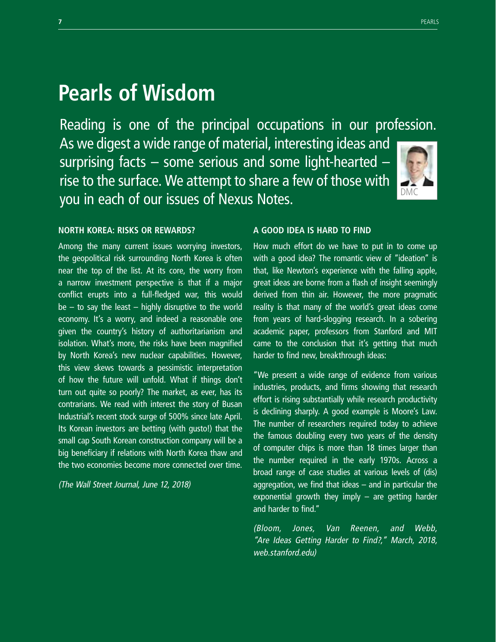# **Pearls of Wisdom**

Reading is one of the principal occupations in our profession. As we digest a wide range of material, interesting ideas and surprising facts – some serious and some light-hearted – rise to the surface. We attempt to share a few of those with you in each of our issues of Nexus Notes. DMC



### **North Korea: risks or rewards?**

Among the many current issues worrying investors, the geopolitical risk surrounding North Korea is often near the top of the list. At its core, the worry from a narrow investment perspective is that if a major conflict erupts into a full-fledged war, this would  $be - to say the least - highly disruptive to the world$ economy. It's a worry, and indeed a reasonable one given the country's history of authoritarianism and isolation. What's more, the risks have been magnified by North Korea's new nuclear capabilities. However, this view skews towards a pessimistic interpretation of how the future will unfold. What if things don't turn out quite so poorly? The market, as ever, has its contrarians. We read with interest the story of Busan Industrial's recent stock surge of 500% since late April. Its Korean investors are betting (with gusto!) that the small cap South Korean construction company will be a big beneficiary if relations with North Korea thaw and the two economies become more connected over time.

(The Wall Street Journal, June 12, 2018)

### **A good idea is hard to find**

How much effort do we have to put in to come up with a good idea? The romantic view of "ideation" is that, like Newton's experience with the falling apple, great ideas are borne from a flash of insight seemingly derived from thin air. However, the more pragmatic reality is that many of the world's great ideas come from years of hard-slogging research. In a sobering academic paper, professors from Stanford and MIT came to the conclusion that it's getting that much harder to find new, breakthrough ideas:

"We present a wide range of evidence from various industries, products, and firms showing that research effort is rising substantially while research productivity is declining sharply. A good example is Moore's Law. The number of researchers required today to achieve the famous doubling every two years of the density of computer chips is more than 18 times larger than the number required in the early 1970s. Across a broad range of case studies at various levels of (dis) aggregation, we find that ideas – and in particular the exponential growth they imply – are getting harder and harder to find."

(Bloom, Jones, Van Reenen, and Webb, "Are Ideas Getting Harder to Find?," March, 2018, web.stanford.edu)